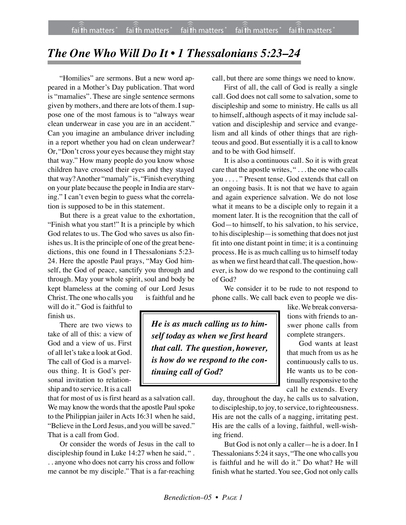## *The One Who Will Do It • 1 Thessalonians 5:23–24*

"Homilies" are sermons. But a new word appeared in a Mother's Day publication. That word is "mamalies". These are single sentence sermons given by mothers, and there are lots of them. I suppose one of the most famous is to "always wear clean underwear in case you are in an accident." Can you imagine an ambulance driver including in a report whether you had on clean underwear? Or, "Don't cross your eyes because they might stay that way." How many people do you know whose children have crossed their eyes and they stayed that way? Another "mamaly" is, "Finish everything on your plate because the people in India are starving." I can't even begin to guess what the correlation is supposed to be in this statement.

But there is a great value to the exhortation, "Finish what you start!" It is a principle by which God relates to us. The God who saves us also finishes us. It is the principle of one of the great benedictions, this one found in I Thessalonians 5:23- 24. Here the apostle Paul prays, "May God himself, the God of peace, sanctify you through and through. May your whole spirit, soul and body be kept blameless at the coming of our Lord Jesus Christ. The one who calls you is faithful and he

will do it." God is faithful to finish us.

There are two views to take of all of this: a view of God and a view of us. First of all let's take a look at God. The call of God is a marvelous thing. It is God's personal invitation to relationship and to service. It is a call

that for most of us is first heard as a salvation call. We may know the words that the apostle Paul spoke to the Philippian jailer in Acts 16:31 when he said, "Believe in the Lord Jesus, and you will be saved." That is a call from God.

Or consider the words of Jesus in the call to discipleship found in Luke 14:27 when he said, ". . . anyone who does not carry his cross and follow me cannot be my disciple." That is a far-reaching call, but there are some things we need to know.

First of all, the call of God is really a single call. God does not call some to salvation, some to discipleship and some to ministry. He calls us all to himself, although aspects of it may include salvation and discipleship and service and evangelism and all kinds of other things that are righteous and good. But essentially it is a call to know and to be with God himself.

It is also a continuous call. So it is with great care that the apostle writes, " . . . the one who calls you . . . . " Present tense. God extends that call on an ongoing basis. It is not that we have to again and again experience salvation. We do not lose what it means to be a disciple only to regain it a moment later. It is the recognition that the call of God—to himself, to his salvation, to his service, to his discipleship—is something that does not just fit into one distant point in time; it is a continuing process. He is as much calling us to himself today as when we first heard that call. The question, however, is how do we respond to the continuing call of God?

We consider it to be rude to not respond to phone calls. We call back even to people we dis-

*He is as much calling us to himself today as when we first heard that call. The question, however, is how do we respond to the continuing call of God?*

like. We break conversations with friends to answer phone calls from complete strangers.

God wants at least that much from us as he continuously calls to us. He wants us to be continually responsive to the call he extends. Every

day, throughout the day, he calls us to salvation, to discipleship, to joy, to service, to righteousness. His are not the calls of a nagging, irritating pest. His are the calls of a loving, faithful, well-wishing friend.

But God is not only a caller—he is a doer. In I Thessalonians 5:24 it says, "The one who calls you is faithful and he will do it." Do what? He will finish what he started. You see, God not only calls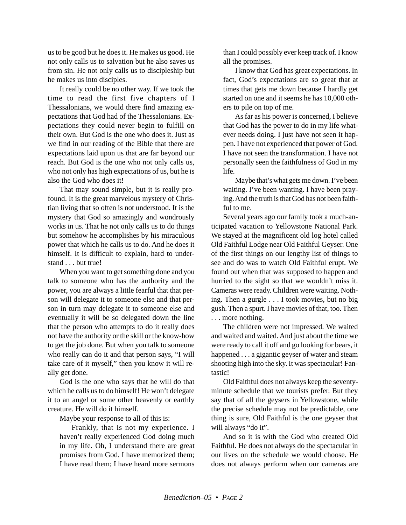us to be good but he does it. He makes us good. He not only calls us to salvation but he also saves us from sin. He not only calls us to discipleship but he makes us into disciples.

It really could be no other way. If we took the time to read the first five chapters of I Thessalonians, we would there find amazing expectations that God had of the Thessalonians. Expectations they could never begin to fulfill on their own. But God is the one who does it. Just as we find in our reading of the Bible that there are expectations laid upon us that are far beyond our reach. But God is the one who not only calls us, who not only has high expectations of us, but he is also the God who does it!

That may sound simple, but it is really profound. It is the great marvelous mystery of Christian living that so often is not understood. It is the mystery that God so amazingly and wondrously works in us. That he not only calls us to do things but somehow he accomplishes by his miraculous power that which he calls us to do. And he does it himself. It is difficult to explain, hard to understand . . . but true!

When you want to get something done and you talk to someone who has the authority and the power, you are always a little fearful that that person will delegate it to someone else and that person in turn may delegate it to someone else and eventually it will be so delegated down the line that the person who attempts to do it really does not have the authority or the skill or the know-how to get the job done. But when you talk to someone who really can do it and that person says, "I will take care of it myself," then you know it will really get done.

God is the one who says that he will do that which he calls us to do himself! He won't delegate it to an angel or some other heavenly or earthly creature. He will do it himself.

Maybe your response to all of this is:

Frankly, that is not my experience. I haven't really experienced God doing much in my life. Oh, I understand there are great promises from God. I have memorized them; I have read them; I have heard more sermons than I could possibly ever keep track of. I know all the promises.

I know that God has great expectations. In fact, God's expectations are so great that at times that gets me down because I hardly get started on one and it seems he has 10,000 others to pile on top of me.

As far as his power is concerned, I believe that God has the power to do in my life whatever needs doing. I just have not seen it happen. I have not experienced that power of God. I have not seen the transformation. I have not personally seen the faithfulness of God in my life.

Maybe that's what gets me down. I've been waiting. I've been wanting. I have been praying. And the truth is that God has not been faithful to me.

Several years ago our family took a much-anticipated vacation to Yellowstone National Park. We stayed at the magnificent old log hotel called Old Faithful Lodge near Old Faithful Geyser. One of the first things on our lengthy list of things to see and do was to watch Old Faithful erupt. We found out when that was supposed to happen and hurried to the sight so that we wouldn't miss it. Cameras were ready. Children were waiting. Nothing. Then a gurgle . . . I took movies, but no big gush. Then a spurt. I have movies of that, too. Then . . . more nothing.

The children were not impressed. We waited and waited and waited. And just about the time we were ready to call it off and go looking for bears, it happened . . . a gigantic geyser of water and steam shooting high into the sky. It was spectacular! Fantastic!

Old Faithful does not always keep the seventyminute schedule that we tourists prefer. But they say that of all the geysers in Yellowstone, while the precise schedule may not be predictable, one thing is sure, Old Faithful is the one geyser that will always "do it".

And so it is with the God who created Old Faithful. He does not always do the spectacular in our lives on the schedule we would choose. He does not always perform when our cameras are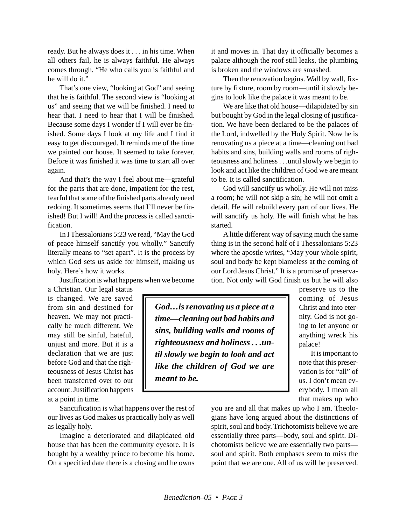ready. But he always does it . . . in his time. When all others fail, he is always faithful. He always comes through. "He who calls you is faithful and he will do it."

That's one view, "looking at God" and seeing that he is faithful. The second view is "looking at us" and seeing that we will be finished. I need to hear that. I need to hear that I will be finished. Because some days I wonder if I will ever be finished. Some days I look at my life and I find it easy to get discouraged. It reminds me of the time we painted our house. It seemed to take forever. Before it was finished it was time to start all over again.

And that's the way I feel about me—grateful for the parts that are done, impatient for the rest, fearful that some of the finished parts already need redoing. It sometimes seems that I'll never be finished! But I will! And the process is called sanctification.

In I Thessalonians 5:23 we read, "May the God of peace himself sanctify you wholly." Sanctify literally means to "set apart". It is the process by which God sets us aside for himself, making us holy. Here's how it works.

Justification is what happens when we become

a Christian. Our legal status is changed. We are saved from sin and destined for heaven. We may not practically be much different. We may still be sinful, hateful, unjust and more. But it is a declaration that we are just before God and that the righteousness of Jesus Christ has been transferred over to our account. Justification happens at a point in time.

Sanctification is what happens over the rest of our lives as God makes us practically holy as well as legally holy.

Imagine a deteriorated and dilapidated old house that has been the community eyesore. It is bought by a wealthy prince to become his home. On a specified date there is a closing and he owns it and moves in. That day it officially becomes a palace although the roof still leaks, the plumbing is broken and the windows are smashed.

Then the renovation begins. Wall by wall, fixture by fixture, room by room—until it slowly begins to look like the palace it was meant to be.

We are like that old house—dilapidated by sin but bought by God in the legal closing of justification. We have been declared to be the palaces of the Lord, indwelled by the Holy Spirit. Now he is renovating us a piece at a time—cleaning out bad habits and sins, building walls and rooms of righteousness and holiness . . .until slowly we begin to look and act like the children of God we are meant to be. It is called sanctification.

God will sanctify us wholly. He will not miss a room; he will not skip a sin; he will not omit a detail. He will rebuild every part of our lives. He will sanctify us holy. He will finish what he has started.

A little different way of saying much the same thing is in the second half of I Thessalonians 5:23 where the apostle writes, "May your whole spirit, soul and body be kept blameless at the coming of our Lord Jesus Christ." It is a promise of preservation. Not only will God finish us but he will also

*God…is renovating us a piece at a time—cleaning out bad habits and sins, building walls and rooms of righteousness and holiness . . .until slowly we begin to look and act like the children of God we are meant to be.*

preserve us to the coming of Jesus Christ and into eternity. God is not going to let anyone or anything wreck his palace!

It is important to note that this preservation is for "all" of us. I don't mean everybody. I mean all that makes up who

you are and all that makes up who I am. Theologians have long argued about the distinctions of spirit, soul and body. Trichotomists believe we are essentially three parts—body, soul and spirit. Dichotomists believe we are essentially two parts soul and spirit. Both emphases seem to miss the point that we are one. All of us will be preserved.